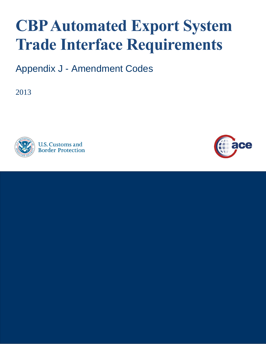## **CBP Automated Export System Trade Interface Requirements**

Appendix J - Amendment Codes

2013